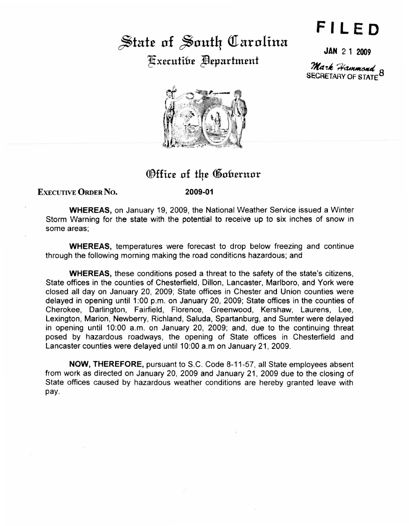## State of South Carolina Executibe **Bepartment**

## **FILED**

JAN 2 1 2009

Mark Hammond o SECRETARY OF STATE



## Office of the Gobernor

EXECUTIVE ORDER No.

2009·01

WHEREAS, on January 19, 2009, the National Weather Service issued a Winter Storm Warning for the state with the potential to receive up to six inches of snow in some areas;

WHEREAS, temperatures were forecast to drop below freezing and continue through the following morning making the road conditions hazardous; and

WHEREAS, these conditions posed a threat to the safety of the state's citizens, State offices in the counties of Chesterfield, Dillon, Lancaster, Marlboro, and York were closed all day on January 20, 2009; State offices in Chester and Union counties were delayed in opening until 1:00 p.m. on January 20, 2009; State offices in the counties of Cherokee, Darlington, Fairfield, Florence, Greenwood, Kershaw, Laurens, Lee, Lexington, Marion, Newberry, Richland, Saluda, Spartanburg, and Sumter were delayed in opening until 10:00 a.m. on January 20, 2009; and, due to the continuing threat posed by hazardous roadways, the opening of State offices in Chesterfield and Lancaster counties were delayed until 10:00 a.m on January 21, 2009.

NOW, THEREFORE, pursuant to S.C. Code 8-11-57, all State employees absent from work as directed on January 20, 2009 and January 21, 2009 due to the closing of State offices caused by hazardous weather conditions are hereby granted leave with pay.